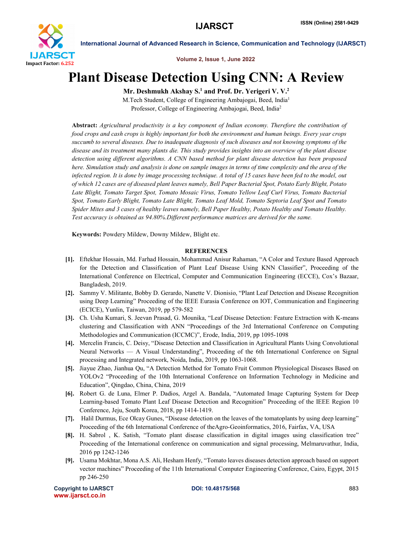

International Journal of Advanced Research in Science, Communication and Technology (IJARSCT)

Volume 2, Issue 1, June 2022

## Plant Disease Detection Using CNN: A Review

Mr. Deshmukh Akshay S.<sup>1</sup> and Prof. Dr. Yerigeri V. V.<sup>2</sup> M.Tech Student, College of Engineering Ambajogai, Beed, India1

Professor, College of Engineering Ambajogai, Beed, India2

Abstract: *Agricultural productivity is a key component of Indian economy. Therefore the contribution of food crops and cash crops is highly important for both the environment and human beings. Every year crops succumb to several diseases. Due to inadequate diagnosis of such diseases and not knowing symptoms of the disease and its treatment many plants die. This study provides insights into an overview of the plant disease detection using different algorithms. A CNN based method for plant disease detection has been proposed here. Simulation study and analysis is done on sample images in terms of time complexity and the area of the infected region. It is done by image processing technique. A total of 15 cases have been fed to the model, out of which 12 cases are of diseased plant leaves namely, Bell Paper Bacterial Spot, Potato Early Blight, Potato Late Blight, Tomato Target Spot, Tomato Mosaic Virus, Tomato Yellow Leaf Curl Virus, Tomato Bacterial Spot, Tomato Early Blight, Tomato Late Blight, Tomato Leaf Mold, Tomato Septoria Leaf Spot and Tomato Spider Mites and 3 cases of healthy leaves namely, Bell Paper Healthy, Potato Healthy and Tomato Healthy. Test accuracy is obtained as 94.80%.Different performance matrices are derived for the same.*

Keywords: Powdery Mildew, Downy Mildew, Blight etc.

## **REFERENCES**

- [1]. Eftekhar Hossain, Md. Farhad Hossain, Mohammad Anisur Rahaman, "A Color and Texture Based Approach for the Detection and Classification of Plant Leaf Disease Using KNN Classifier", Proceeding of the International Conference on Electrical, Computer and Communication Engineering (ECCE), Cox's Bazaar, Bangladesh, 2019.
- [2]. Sammy V. Militante, Bobby D. Gerardo, Nanette V. Dionisio, "Plant Leaf Detection and Disease Recognition using Deep Learning" Proceeding of the IEEE Eurasia Conference on IOT, Communication and Engineering (ECICE), Yunlin, Taiwan, 2019, pp 579-582
- [3]. Ch. Usha Kumari, S. Jeevan Prasad, G. Mounika, "Leaf Disease Detection: Feature Extraction with K-means clustering and Classification with ANN "Proceedings of the 3rd International Conference on Computing Methodologies and Communication (ICCMC)", Erode, India, 2019, pp 1095-1098
- [4]. Mercelin Francis, C. Deisy, "Disease Detection and Classification in Agricultural Plants Using Convolutional Neural Networks — A Visual Understanding", Proceeding of the 6th International Conference on Signal processing and Integrated network, Noida, India, 2019, pp 1063-1068.
- [5]. Jiayue Zhao, Jianhua Qu, "A Detection Method for Tomato Fruit Common Physiological Diseases Based on YOLOv2 "Proceeding of the 10th International Conference on Information Technology in Medicine and Education", Qingdao, China, China, 2019
- [6]. Robert G. de Luna, Elmer P. Dadios, Argel A. Bandala, "Automated Image Capturing System for Deep Learning-based Tomato Plant Leaf Disease Detection and Recognition" Proceeding of the IEEE Region 10 Conference, Jeju, South Korea, 2018, pp 1414-1419.
- [7]. Halil Durmus, Ece Olcay Gunes, "Disease detection on the leaves of the tomatoplants by using deep learning" Proceeding of the 6th International Conference of theAgro-Geoinformatics, 2016, Fairfax, VA, USA
- [8]. H. Sabrol , K. Satish, "Tomato plant disease classification in digital images using classification tree" Proceeding of the International conference on communication and signal processing, Melmaruvathur, India, 2016 pp 1242-1246
- [9]. Usama Mokhtar, Mona A.S. Ali, Hesham Henfy, "Tomato leaves diseases detection approach based on support vector machines" Proceeding of the 11th International Computer Engineering Conference, Cairo, Egypt, 2015 pp 246-250